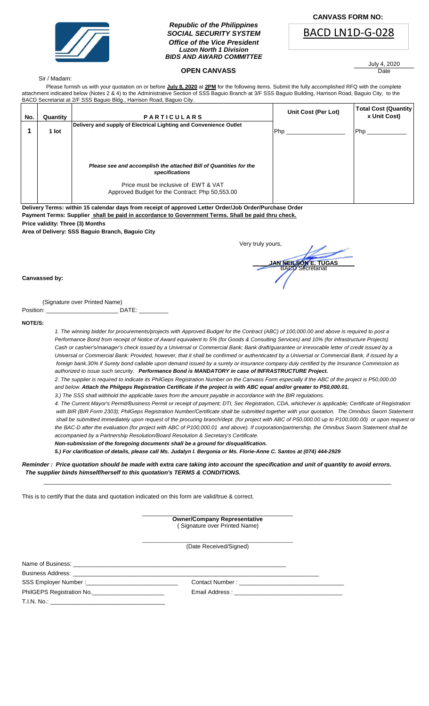

## *Republic of the Philippines SOCIAL SECURITY SYSTEM Office of the Vice President Luzon North 1 Division BIDS AND AWARD COMMITTEE*

## **OPEN CANVASS**

 **CANVASS FORM NO:**



July 4, 2020 Date

### Sir / Madam:

 Please furnish us with your quotation on or before **July 8, 2020** at **2PM** for the following items. Submit the fully accomplished RFQ with the complete attachment indicated below (Notes 2 & 4) to the Administrative Section of SSS Baguio Branch at 3/F SSS Baguio Building, Harrison Road, Baguio City, to the BACD Secretariat at 2/F SSS Baguio Bldg., Harrison Road, Baguio City.

| No. | Quantity | <b>PARTICULARS</b>                                                                                                                                                             | Unit Cost (Per Lot) | <b>Total Cost (Quantity</b><br>x Unit Cost) |
|-----|----------|--------------------------------------------------------------------------------------------------------------------------------------------------------------------------------|---------------------|---------------------------------------------|
|     | 1 lot    | Delivery and supply of Electrical Lighting and Convenience Outlet                                                                                                              | Php                 | Php                                         |
|     |          | Please see and accomplish the attached Bill of Quantities for the<br>specifications<br>Price must be inclusive of EWT & VAT<br>Approved Budget for the Contract: Php 50,553.00 |                     |                                             |

**Delivery Terms: within 15 calendar days from receipt of approved Letter Order/Job Order/Purchase Order Payment Terms: Supplier shall be paid in accordance to Government Terms. Shall be paid thru check. Price validity: Three (3) Months**

**Area of Delivery: SSS Baguio Branch, Baguio City**

| Very truly yours, |                              |
|-------------------|------------------------------|
|                   | <b>JAN NEIL SON E. TUGAS</b> |
|                   |                              |

#### **Canvassed by:**

(Signature over Printed Name)

| Position: |  |  |  |
|-----------|--|--|--|
|-----------|--|--|--|

**NOTE/S:** 

*1. The winning bidder for procurements/projects with Approved Budget for the Contract (ABC) of 100,000.00 and above is required to post a Performance Bond from receipt of Notice of Award equivalent to 5% (for Goods & Consulting Services) and 10% (for infrastructure Projects) Cash or cashier's/manager's check issued by a Universal or Commercial Bank; Bank draft/guarantee or irrevocable letter of credit issued by a Universal or Commercial Bank: Provided, however, that it shall be confirmed or authenticated by a Universal or Commercial Bank, if issued by a foreign bank.30% if Surety bond callable upon demand issued by a surety or insurance company duly certified by the Insurance Commission as authorized to issue such security. Performance Bond is MANDATORY in case of INFRASTRUCTURE Project.*

*2. The supplier is required to indicate its PhilGeps Registration Number on the Canvass Form especially if the ABC of the project is P50,000.00 and below. Attach the Philgeps Registration Certificate if the project is with ABC equal and/or greater to P50,000.01.*

*3.) The SSS shall withhold the applicable taxes from the amount payable in accordance with the BIR regulations.*

*4. The Current Mayor's Permit/Business Permit or receipt of payment; DTI, Sec Registration, CDA, whichever is applicable; Certificate of Registration with BIR (BIR Form 2303); PhilGeps Registration Number/Certificate shall be submitted together with your quotation. The Omnibus Sworn Statement* shall be submitted immediately upon request of the procuring branch/dept. (for project with ABC of P50,000.00 up to P100,000.00) or upon request of *the BAC-D after the evaluation (for project with ABC of P100,000.01 and above). If corporation/partnership, the Omnibus Sworn Statement shall be accompanied by a Partnership Resolution/Board Resolution & Secretary's Certificate.*

*Non-submission of the foregoing documents shall be a ground for disqualification.*

*5.) For clarification of details, please call Ms. Judalyn I. Bergonia or Ms. Florie-Anne C. Santos at (074) 444-2929*

*Reminder : Price quotation should be made with extra care taking into account the specification and unit of quantity to avoid errors. The supplier binds himself/herself to this quotation's TERMS & CONDITIONS.*

This is to certify that the data and quotation indicated on this form are valid/true & correct.

\_\_\_\_\_\_\_\_\_\_\_\_\_\_\_\_\_\_\_\_\_\_\_\_\_\_\_\_\_\_\_\_\_\_\_\_\_\_\_\_\_\_\_\_\_\_ **Owner/Company Representative** ( Signature over Printed Name)

\_\_\_\_\_\_\_\_\_\_\_\_\_\_\_\_\_\_\_\_\_\_\_\_\_\_\_\_\_\_\_\_\_\_\_\_\_\_\_\_\_\_\_\_\_\_\_\_\_\_\_\_\_\_\_\_\_\_\_\_\_\_\_\_\_\_\_\_\_\_\_\_\_\_\_\_\_\_\_\_\_\_\_\_\_\_\_\_\_\_\_\_\_\_\_\_\_\_\_\_\_\_\_\_\_\_

(Date Received/Signed) \_\_\_\_\_\_\_\_\_\_\_\_\_\_\_\_\_\_\_\_\_\_\_\_\_\_\_\_\_\_\_\_\_\_\_\_\_\_\_\_\_\_\_\_\_\_\_\_\_\_\_\_\_\_\_\_

Name of Business: Business Address:

SSS Employer Number :\_\_\_\_\_\_\_\_\_\_\_\_\_\_\_\_\_\_\_\_\_\_\_\_\_\_\_\_ Contact Number : \_\_\_\_\_\_\_\_\_\_\_\_\_\_\_\_\_\_\_\_\_\_\_\_\_\_\_\_\_\_\_\_

PhilGEPS Registration No. \_\_\_\_\_\_\_\_\_\_\_\_\_\_\_\_\_\_\_\_\_\_\_\_\_\_\_\_\_\_\_\_\_\_ Email Address : \_

T.I.N. No.: \_\_\_\_\_\_\_\_\_\_\_\_\_\_\_\_\_\_\_\_\_\_\_\_\_\_\_\_\_\_\_\_\_\_\_